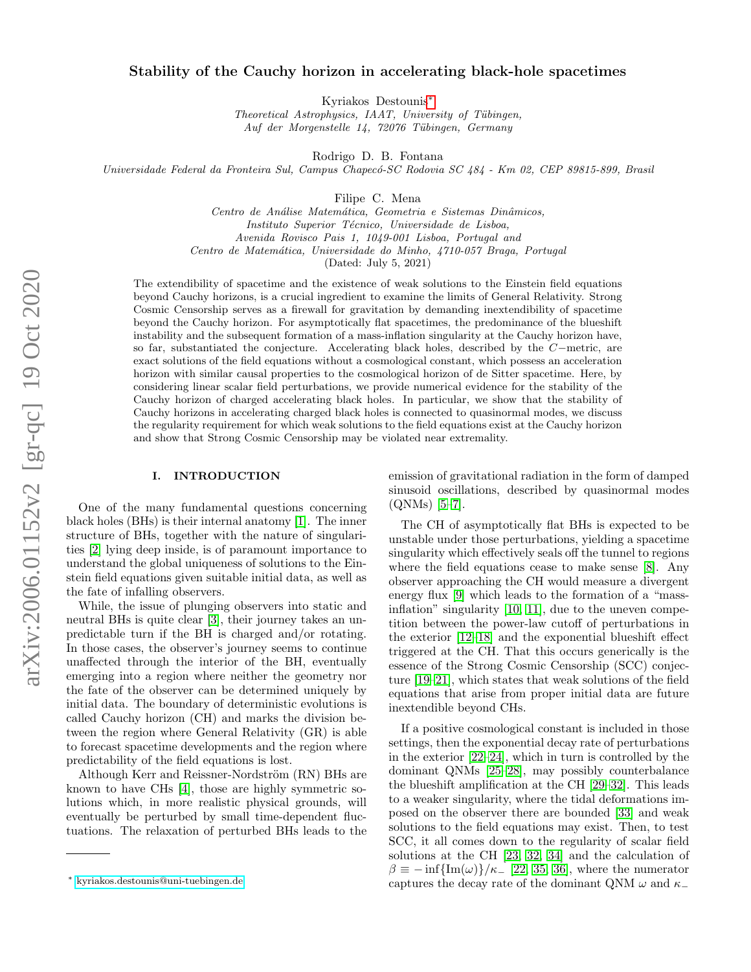# Stability of the Cauchy horizon in accelerating black-hole spacetimes

Kyriakos Destounis[∗](#page-0-0)

Theoretical Astrophysics, IAAT, University of Tübingen, Auf der Morgenstelle 14, 72076 Tübingen, Germany

Rodrigo D. B. Fontana

Universidade Federal da Fronteira Sul, Campus Chapecó-SC Rodovia SC 484 - Km 02, CEP 89815-899, Brasil

Filipe C. Mena

Centro de Análise Matemática, Geometria e Sistemas Dinâmicos, Instituto Superior Técnico, Universidade de Lisboa, Avenida Rovisco Pais 1, 1049-001 Lisboa, Portugal and Centro de Matemática, Universidade do Minho, 4710-057 Braga, Portugal (Dated: July 5, 2021)

The extendibility of spacetime and the existence of weak solutions to the Einstein field equations beyond Cauchy horizons, is a crucial ingredient to examine the limits of General Relativity. Strong Cosmic Censorship serves as a firewall for gravitation by demanding inextendibility of spacetime beyond the Cauchy horizon. For asymptotically flat spacetimes, the predominance of the blueshift instability and the subsequent formation of a mass-inflation singularity at the Cauchy horizon have, so far, substantiated the conjecture. Accelerating black holes, described by the C−metric, are exact solutions of the field equations without a cosmological constant, which possess an acceleration horizon with similar causal properties to the cosmological horizon of de Sitter spacetime. Here, by considering linear scalar field perturbations, we provide numerical evidence for the stability of the Cauchy horizon of charged accelerating black holes. In particular, we show that the stability of Cauchy horizons in accelerating charged black holes is connected to quasinormal modes, we discuss the regularity requirement for which weak solutions to the field equations exist at the Cauchy horizon and show that Strong Cosmic Censorship may be violated near extremality.

#### I. INTRODUCTION

One of the many fundamental questions concerning black holes (BHs) is their internal anatomy [\[1\]](#page-4-0). The inner structure of BHs, together with the nature of singularities [\[2\]](#page-4-1) lying deep inside, is of paramount importance to understand the global uniqueness of solutions to the Einstein field equations given suitable initial data, as well as the fate of infalling observers.

While, the issue of plunging observers into static and neutral BHs is quite clear [\[3\]](#page-4-2), their journey takes an unpredictable turn if the BH is charged and/or rotating. In those cases, the observer's journey seems to continue unaffected through the interior of the BH, eventually emerging into a region where neither the geometry nor the fate of the observer can be determined uniquely by initial data. The boundary of deterministic evolutions is called Cauchy horizon (CH) and marks the division between the region where General Relativity (GR) is able to forecast spacetime developments and the region where predictability of the field equations is lost.

Although Kerr and Reissner-Nordström (RN) BHs are known to have CHs [\[4\]](#page-4-3), those are highly symmetric solutions which, in more realistic physical grounds, will eventually be perturbed by small time-dependent fluctuations. The relaxation of perturbed BHs leads to the emission of gravitational radiation in the form of damped sinusoid oscillations, described by quasinormal modes (QNMs) [\[5](#page-4-4)[–7\]](#page-4-5).

The CH of asymptotically flat BHs is expected to be unstable under those perturbations, yielding a spacetime singularity which effectively seals off the tunnel to regions where the field equations cease to make sense [\[8\]](#page-4-6). Any observer approaching the CH would measure a divergent energy flux [\[9\]](#page-4-7) which leads to the formation of a "massinflation" singularity [\[10,](#page-4-8) [11\]](#page-4-9), due to the uneven competition between the power-law cutoff of perturbations in the exterior [\[12–](#page-4-10)[18\]](#page-4-11) and the exponential blueshift effect triggered at the CH. That this occurs generically is the essence of the Strong Cosmic Censorship (SCC) conjecture [\[19](#page-4-12)[–21\]](#page-5-0), which states that weak solutions of the field equations that arise from proper initial data are future inextendible beyond CHs.

If a positive cosmological constant is included in those settings, then the exponential decay rate of perturbations in the exterior [\[22](#page-5-1)[–24\]](#page-5-2), which in turn is controlled by the dominant QNMs [\[25–](#page-5-3)[28\]](#page-5-4), may possibly counterbalance the blueshift amplification at the CH [\[29–](#page-5-5)[32\]](#page-5-6). This leads to a weaker singularity, where the tidal deformations imposed on the observer there are bounded [\[33\]](#page-5-7) and weak solutions to the field equations may exist. Then, to test SCC, it all comes down to the regularity of scalar field solutions at the CH [\[23,](#page-5-8) [32,](#page-5-6) [34\]](#page-5-9) and the calculation of  $\beta \equiv -\inf\{\text{Im}(\omega)\}/\kappa$ <sub>-</sub> [\[22,](#page-5-1) [35,](#page-5-10) [36\]](#page-5-11), where the numerator captures the decay rate of the dominant QNM  $\omega$  and  $\kappa$ <sub>−</sub>

<span id="page-0-0"></span><sup>∗</sup> [kyriakos.destounis@uni-tuebingen.de](mailto:kyriakos.destounis@uni-tuebingen.de)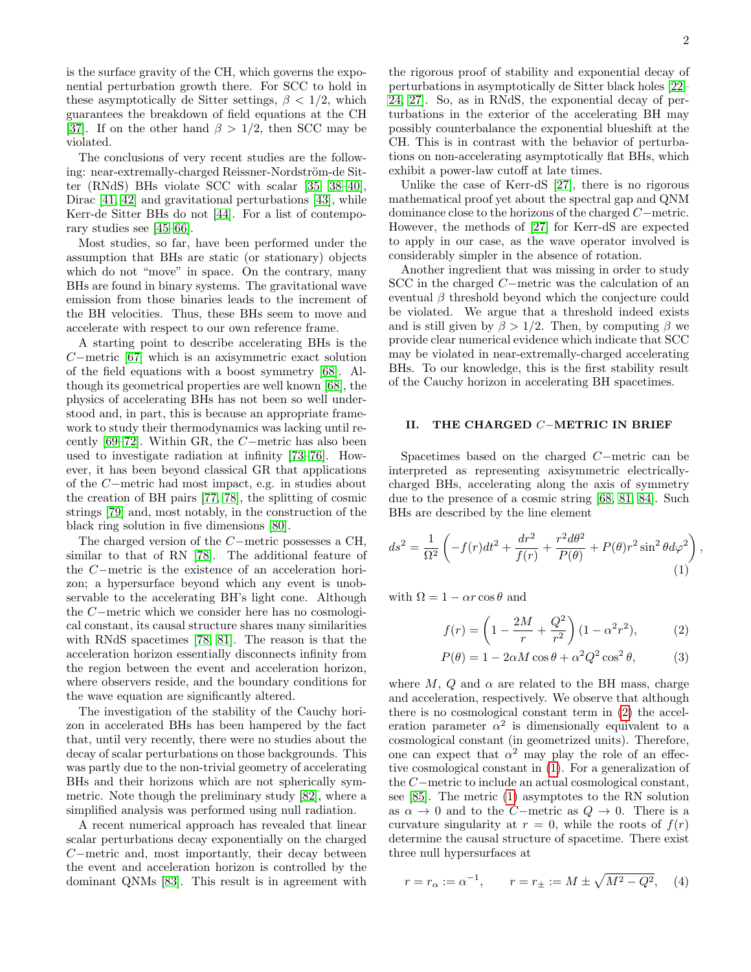is the surface gravity of the CH, which governs the exponential perturbation growth there. For SCC to hold in these asymptotically de Sitter settings,  $\beta < 1/2$ , which guarantees the breakdown of field equations at the CH [\[37\]](#page-5-12). If on the other hand  $\beta > 1/2$ , then SCC may be violated.

The conclusions of very recent studies are the following: near-extremally-charged Reissner-Nordström-de Sitter (RNdS) BHs violate SCC with scalar [\[35,](#page-5-10) [38–](#page-5-13)[40\]](#page-5-14), Dirac [\[41,](#page-5-15) [42\]](#page-5-16) and gravitational perturbations [\[43\]](#page-5-17), while Kerr-de Sitter BHs do not [\[44\]](#page-5-18). For a list of contemporary studies see [\[45–](#page-5-19)[66\]](#page-5-20).

Most studies, so far, have been performed under the assumption that BHs are static (or stationary) objects which do not "move" in space. On the contrary, many BHs are found in binary systems. The gravitational wave emission from those binaries leads to the increment of the BH velocities. Thus, these BHs seem to move and accelerate with respect to our own reference frame.

A starting point to describe accelerating BHs is the C−metric [\[67\]](#page-5-21) which is an axisymmetric exact solution of the field equations with a boost symmetry [\[68\]](#page-5-22). Although its geometrical properties are well known [\[68\]](#page-5-22), the physics of accelerating BHs has not been so well understood and, in part, this is because an appropriate framework to study their thermodynamics was lacking until recently [\[69](#page-5-23)[–72\]](#page-5-24). Within GR, the C−metric has also been used to investigate radiation at infinity [\[73–](#page-5-25)[76\]](#page-5-26). However, it has been beyond classical GR that applications of the C−metric had most impact, e.g. in studies about the creation of BH pairs [\[77,](#page-5-27) [78\]](#page-5-28), the splitting of cosmic strings [\[79\]](#page-5-29) and, most notably, in the construction of the black ring solution in five dimensions [\[80\]](#page-5-30).

The charged version of the C−metric possesses a CH, similar to that of RN [\[78\]](#page-5-28). The additional feature of the C−metric is the existence of an acceleration horizon; a hypersurface beyond which any event is unobservable to the accelerating BH's light cone. Although the C−metric which we consider here has no cosmological constant, its causal structure shares many similarities with RNdS spacetimes [\[78,](#page-5-28) [81\]](#page-6-0). The reason is that the acceleration horizon essentially disconnects infinity from the region between the event and acceleration horizon, where observers reside, and the boundary conditions for the wave equation are significantly altered.

The investigation of the stability of the Cauchy horizon in accelerated BHs has been hampered by the fact that, until very recently, there were no studies about the decay of scalar perturbations on those backgrounds. This was partly due to the non-trivial geometry of accelerating BHs and their horizons which are not spherically symmetric. Note though the preliminary study [\[82\]](#page-6-1), where a simplified analysis was performed using null radiation.

A recent numerical approach has revealed that linear scalar perturbations decay exponentially on the charged C−metric and, most importantly, their decay between the event and acceleration horizon is controlled by the dominant QNMs [\[83\]](#page-6-2). This result is in agreement with <span id="page-1-1"></span><span id="page-1-0"></span>,

the rigorous proof of stability and exponential decay of perturbations in asymptotically de Sitter black holes [\[22–](#page-5-1) [24,](#page-5-2) [27\]](#page-5-31). So, as in RNdS, the exponential decay of perturbations in the exterior of the accelerating BH may possibly counterbalance the exponential blueshift at the CH. This is in contrast with the behavior of perturbations on non-accelerating asymptotically flat BHs, which exhibit a power-law cutoff at late times.

Unlike the case of Kerr-dS [\[27\]](#page-5-31), there is no rigorous mathematical proof yet about the spectral gap and QNM dominance close to the horizons of the charged C−metric. However, the methods of [\[27\]](#page-5-31) for Kerr-dS are expected to apply in our case, as the wave operator involved is considerably simpler in the absence of rotation.

Another ingredient that was missing in order to study SCC in the charged C−metric was the calculation of an eventual  $\beta$  threshold beyond which the conjecture could be violated. We argue that a threshold indeed exists and is still given by  $\beta > 1/2$ . Then, by computing  $\beta$  we provide clear numerical evidence which indicate that SCC may be violated in near-extremally-charged accelerating BHs. To our knowledge, this is the first stability result of the Cauchy horizon in accelerating BH spacetimes.

## II. THE CHARGED C−METRIC IN BRIEF

Spacetimes based on the charged C−metric can be interpreted as representing axisymmetric electricallycharged BHs, accelerating along the axis of symmetry due to the presence of a cosmic string [\[68,](#page-5-22) [81,](#page-6-0) [84\]](#page-6-3). Such BHs are described by the line element

$$
ds^{2} = \frac{1}{\Omega^{2}} \left( -f(r)dt^{2} + \frac{dr^{2}}{f(r)} + \frac{r^{2}d\theta^{2}}{P(\theta)} + P(\theta)r^{2}\sin^{2}\theta d\varphi^{2} \right)
$$
\n(1)

with  $\Omega = 1 - \alpha r \cos \theta$  and

$$
f(r) = \left(1 - \frac{2M}{r} + \frac{Q^2}{r^2}\right)(1 - \alpha^2 r^2),\tag{2}
$$

$$
P(\theta) = 1 - 2\alpha M \cos \theta + \alpha^2 Q^2 \cos^2 \theta, \tag{3}
$$

where  $M, Q$  and  $\alpha$  are related to the BH mass, charge and acceleration, respectively. We observe that although there is no cosmological constant term in [\(2\)](#page-1-0) the acceleration parameter  $\alpha^2$  is dimensionally equivalent to a cosmological constant (in geometrized units). Therefore, one can expect that  $\alpha^2$  may play the role of an effective cosmological constant in [\(1\)](#page-1-1). For a generalization of the C−metric to include an actual cosmological constant, see [\[85\]](#page-6-4). The metric [\(1\)](#page-1-1) asymptotes to the RN solution as  $\alpha \to 0$  and to the C−metric as  $Q \to 0$ . There is a curvature singularity at  $r = 0$ , while the roots of  $f(r)$ determine the causal structure of spacetime. There exist three null hypersurfaces at

$$
r = r_{\alpha} := \alpha^{-1}, \qquad r = r_{\pm} := M \pm \sqrt{M^2 - Q^2}, \quad (4)
$$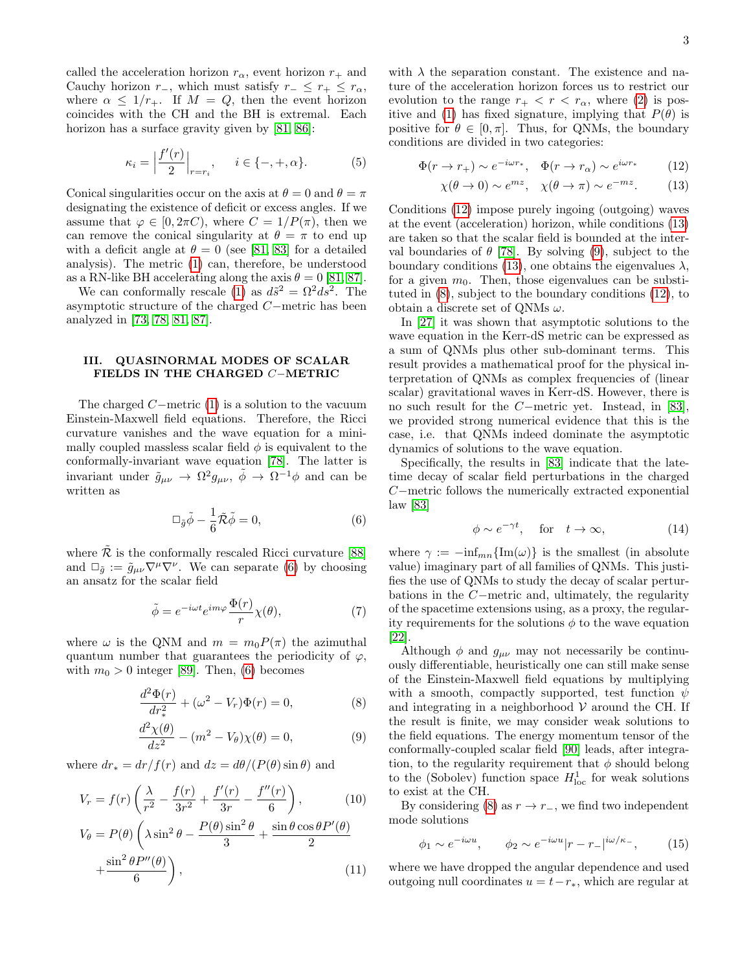called the acceleration horizon  $r_{\alpha}$ , event horizon  $r_{+}$  and Cauchy horizon  $r_-,$  which must satisfy  $r_-\leq r_+\leq r_\alpha$ , where  $\alpha \leq 1/r_+$ . If  $M = Q$ , then the event horizon coincides with the CH and the BH is extremal. Each horizon has a surface gravity given by [\[81,](#page-6-0) [86\]](#page-6-5):

$$
\kappa_i = \left| \frac{f'(r)}{2} \right|_{r=r_i}, \quad i \in \{-, +, \alpha\}.
$$
 (5)

Conical singularities occur on the axis at  $\theta = 0$  and  $\theta = \pi$ designating the existence of deficit or excess angles. If we assume that  $\varphi \in [0, 2\pi C)$ , where  $C = 1/P(\pi)$ , then we can remove the conical singularity at  $\theta = \pi$  to end up with a deficit angle at  $\theta = 0$  (see [\[81,](#page-6-0) [83\]](#page-6-2) for a detailed analysis). The metric [\(1\)](#page-1-1) can, therefore, be understood as a RN-like BH accelerating along the axis  $\theta = 0$  [\[81,](#page-6-0) [87\]](#page-6-6).

We can conformally rescale [\(1\)](#page-1-1) as  $d\tilde{s}^2 = \Omega^2 d\tilde{s}^2$ . The asymptotic structure of the charged C−metric has been analyzed in [\[73,](#page-5-25) [78,](#page-5-28) [81,](#page-6-0) [87\]](#page-6-6).

### III. QUASINORMAL MODES OF SCALAR FIELDS IN THE CHARGED C−METRIC

The charged  $C-$ metric [\(1\)](#page-1-1) is a solution to the vacuum Einstein-Maxwell field equations. Therefore, the Ricci curvature vanishes and the wave equation for a minimally coupled massless scalar field  $\phi$  is equivalent to the conformally-invariant wave equation [\[78\]](#page-5-28). The latter is invariant under  $\tilde{g}_{\mu\nu} \to \Omega^2 g_{\mu\nu}, \tilde{\phi} \to \Omega^{-1} \phi$  and can be written as

<span id="page-2-0"></span>
$$
\Box_{\tilde{g}}\tilde{\phi} - \frac{1}{6}\tilde{\mathcal{R}}\tilde{\phi} = 0, \qquad (6)
$$

where  $R$  is the conformally rescaled Ricci curvature [\[88\]](#page-6-7) and  $\Box_{\tilde{g}} := \tilde{g}_{\mu\nu} \nabla^{\mu} \nabla^{\nu}$ . We can separate [\(6\)](#page-2-0) by choosing an ansatz for the scalar field

$$
\tilde{\phi} = e^{-i\omega t} e^{im\varphi} \frac{\Phi(r)}{r} \chi(\theta),\tag{7}
$$

where  $\omega$  is the QNM and  $m = m_0 P(\pi)$  the azimuthal quantum number that guarantees the periodicity of  $\varphi$ , with  $m_0 > 0$  integer [\[89\]](#page-6-8). Then, [\(6\)](#page-2-0) becomes

<span id="page-2-3"></span>
$$
\frac{d^2\Phi(r)}{dr_*^2} + (\omega^2 - V_r)\Phi(r) = 0,
$$
\n(8)

$$
\frac{d^2\chi(\theta)}{dz^2} - (m^2 - V_{\theta})\chi(\theta) = 0,
$$
\n(9)

where  $dr_* = dr/f(r)$  and  $dz = d\theta/(P(\theta) \sin \theta)$  and

$$
V_r = f(r) \left( \frac{\lambda}{r^2} - \frac{f(r)}{3r^2} + \frac{f'(r)}{3r} - \frac{f''(r)}{6} \right), \qquad (10)
$$
  

$$
V_{\theta} = P(\theta) \left( \lambda \sin^2 \theta - \frac{P(\theta) \sin^2 \theta}{3} + \frac{\sin \theta \cos \theta P'(\theta)}{2} + \frac{\sin^2 \theta P''(\theta)}{6} \right), \qquad (11)
$$

with  $\lambda$  the separation constant. The existence and nature of the acceleration horizon forces us to restrict our evolution to the range  $r_+ < r < r_\alpha$ , where [\(2\)](#page-1-0) is pos-itive and [\(1\)](#page-1-1) has fixed signature, implying that  $P(\theta)$  is positive for  $\theta \in [0, \pi]$ . Thus, for QNMs, the boundary conditions are divided in two categories:

$$
\Phi(r \to r_+) \sim e^{-i\omega r_*}, \quad \Phi(r \to r_\alpha) \sim e^{i\omega r_*} \tag{12}
$$

<span id="page-2-2"></span><span id="page-2-1"></span>
$$
\chi(\theta \to 0) \sim e^{mz}, \quad \chi(\theta \to \pi) \sim e^{-mz}.
$$
 (13)

Conditions [\(12\)](#page-2-1) impose purely ingoing (outgoing) waves at the event (acceleration) horizon, while conditions [\(13\)](#page-2-2) are taken so that the scalar field is bounded at the interval boundaries of  $\theta$  [\[78\]](#page-5-28). By solving [\(9\)](#page-2-3), subject to the boundary conditions [\(13\)](#page-2-2), one obtains the eigenvalues  $\lambda$ , for a given  $m_0$ . Then, those eigenvalues can be substituted in [\(8\)](#page-2-3), subject to the boundary conditions [\(12\)](#page-2-1), to obtain a discrete set of QNMs  $\omega$ .

In [\[27\]](#page-5-31) it was shown that asymptotic solutions to the wave equation in the Kerr-dS metric can be expressed as a sum of QNMs plus other sub-dominant terms. This result provides a mathematical proof for the physical interpretation of QNMs as complex frequencies of (linear scalar) gravitational waves in Kerr-dS. However, there is no such result for the C−metric yet. Instead, in [\[83\]](#page-6-2), we provided strong numerical evidence that this is the case, i.e. that QNMs indeed dominate the asymptotic dynamics of solutions to the wave equation.

Specifically, the results in [\[83\]](#page-6-2) indicate that the latetime decay of scalar field perturbations in the charged C−metric follows the numerically extracted exponential law [\[83\]](#page-6-2)

<span id="page-2-4"></span>
$$
\phi \sim e^{-\gamma t}, \quad \text{for} \quad t \to \infty,
$$
 (14)

where  $\gamma := -\inf_{mn} {\{\text{Im}(\omega)\}\}\$ is the smallest (in absolute value) imaginary part of all families of QNMs. This justifies the use of QNMs to study the decay of scalar perturbations in the C−metric and, ultimately, the regularity of the spacetime extensions using, as a proxy, the regularity requirements for the solutions  $\phi$  to the wave equation [\[22\]](#page-5-1).

Although  $\phi$  and  $g_{\mu\nu}$  may not necessarily be continuously differentiable, heuristically one can still make sense of the Einstein-Maxwell field equations by multiplying with a smooth, compactly supported, test function  $\psi$ and integrating in a neighborhood  $V$  around the CH. If the result is finite, we may consider weak solutions to the field equations. The energy momentum tensor of the conformally-coupled scalar field [\[90\]](#page-6-9) leads, after integration, to the regularity requirement that  $\phi$  should belong to the (Sobolev) function space  $H_{\text{loc}}^1$  for weak solutions to exist at the CH.

By considering [\(8\)](#page-2-3) as  $r \to r_-\,$ , we find two independent mode solutions

$$
\phi_1 \sim e^{-i\omega u}, \qquad \phi_2 \sim e^{-i\omega u} |r - r_-|^{i\omega/\kappa_-},
$$
\n(15)

where we have dropped the angular dependence and used outgoing null coordinates  $u = t - r_*$ , which are regular at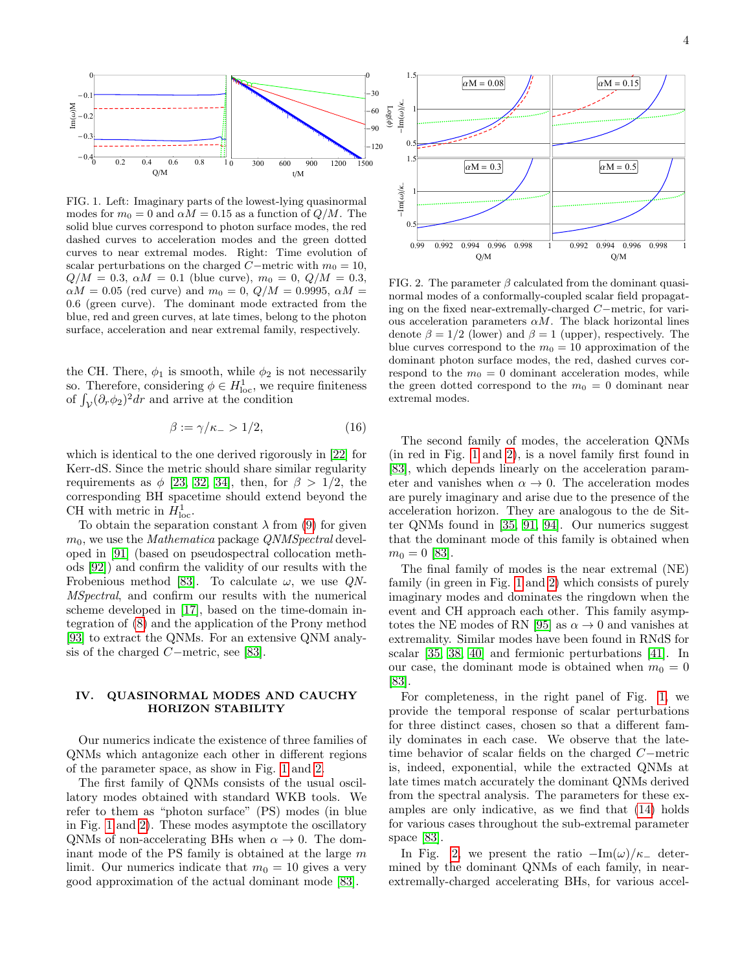

<span id="page-3-0"></span>FIG. 1. Left: Imaginary parts of the lowest-lying quasinormal modes for  $m_0 = 0$  and  $\alpha M = 0.15$  as a function of  $Q/M$ . The solid blue curves correspond to photon surface modes, the red dashed curves to acceleration modes and the green dotted curves to near extremal modes. Right: Time evolution of scalar perturbations on the charged  $C$ −metric with  $m_0 = 10$ ,  $Q/M = 0.3$ ,  $\alpha M = 0.1$  (blue curve),  $m_0 = 0$ ,  $Q/M = 0.3$ ,  $\alpha M = 0.05$  (red curve) and  $m_0 = 0$ ,  $Q/M = 0.9995$ ,  $\alpha M =$ 0.6 (green curve). The dominant mode extracted from the blue, red and green curves, at late times, belong to the photon surface, acceleration and near extremal family, respectively.

the CH. There,  $\phi_1$  is smooth, while  $\phi_2$  is not necessarily so. Therefore, considering  $\phi \in H^1_{loc}$ , we require finiteness of  $\int_{\mathcal{V}} (\partial_r \phi_2)^2 dr$  and arrive at the condition

<span id="page-3-2"></span>
$$
\beta := \gamma/\kappa_- > 1/2,\tag{16}
$$

which is identical to the one derived rigorously in [\[22\]](#page-5-1) for Kerr-dS. Since the metric should share similar regularity requirements as  $\phi$  [\[23,](#page-5-8) [32,](#page-5-6) [34\]](#page-5-9), then, for  $\beta > 1/2$ , the corresponding BH spacetime should extend beyond the CH with metric in  $H_{\text{loc}}^1$ .

To obtain the separation constant  $\lambda$  from [\(9\)](#page-2-3) for given  $m_0$ , we use the *Mathematica* package *QNMSpectral* developed in [\[91\]](#page-6-10) (based on pseudospectral collocation methods [\[92\]](#page-6-11)) and confirm the validity of our results with the Frobenious method [\[83\]](#page-6-2). To calculate  $\omega$ , we use QN-MSpectral, and confirm our results with the numerical scheme developed in [\[17\]](#page-4-13), based on the time-domain integration of [\(8\)](#page-2-3) and the application of the Prony method [\[93\]](#page-6-12) to extract the QNMs. For an extensive QNM analysis of the charged C−metric, see [\[83\]](#page-6-2).

# IV. QUASINORMAL MODES AND CAUCHY HORIZON STABILITY

Our numerics indicate the existence of three families of QNMs which antagonize each other in different regions of the parameter space, as show in Fig. [1](#page-3-0) and [2.](#page-3-1)

The first family of QNMs consists of the usual oscillatory modes obtained with standard WKB tools. We refer to them as "photon surface" (PS) modes (in blue in Fig. [1](#page-3-0) and [2\)](#page-3-1). These modes asymptote the oscillatory QNMs of non-accelerating BHs when  $\alpha \to 0$ . The dominant mode of the PS family is obtained at the large  $m$ limit. Our numerics indicate that  $m_0 = 10$  gives a very good approximation of the actual dominant mode [\[83\]](#page-6-2).



<span id="page-3-1"></span>FIG. 2. The parameter  $\beta$  calculated from the dominant quasinormal modes of a conformally-coupled scalar field propagating on the fixed near-extremally-charged C−metric, for various acceleration parameters  $\alpha M$ . The black horizontal lines denote  $\beta = 1/2$  (lower) and  $\beta = 1$  (upper), respectively. The blue curves correspond to the  $m_0 = 10$  approximation of the dominant photon surface modes, the red, dashed curves correspond to the  $m_0 = 0$  dominant acceleration modes, while the green dotted correspond to the  $m_0 = 0$  dominant near extremal modes.

The second family of modes, the acceleration QNMs (in red in Fig. [1](#page-3-0) and [2\)](#page-3-1), is a novel family first found in [\[83\]](#page-6-2), which depends linearly on the acceleration parameter and vanishes when  $\alpha \to 0$ . The acceleration modes are purely imaginary and arise due to the presence of the acceleration horizon. They are analogous to the de Sitter QNMs found in [\[35,](#page-5-10) [91,](#page-6-10) [94\]](#page-6-13). Our numerics suggest that the dominant mode of this family is obtained when  $m_0 = 0$  [\[83\]](#page-6-2).

The final family of modes is the near extremal (NE) family (in green in Fig. [1](#page-3-0) and [2\)](#page-3-1) which consists of purely imaginary modes and dominates the ringdown when the event and CH approach each other. This family asymp-totes the NE modes of RN [\[95\]](#page-6-14) as  $\alpha \to 0$  and vanishes at extremality. Similar modes have been found in RNdS for scalar [\[35,](#page-5-10) [38,](#page-5-13) [40\]](#page-5-14) and fermionic perturbations [\[41\]](#page-5-15). In our case, the dominant mode is obtained when  $m_0 = 0$ [\[83\]](#page-6-2).

For completeness, in the right panel of Fig. [1,](#page-3-0) we provide the temporal response of scalar perturbations for three distinct cases, chosen so that a different family dominates in each case. We observe that the latetime behavior of scalar fields on the charged C−metric is, indeed, exponential, while the extracted QNMs at late times match accurately the dominant QNMs derived from the spectral analysis. The parameters for these examples are only indicative, as we find that [\(14\)](#page-2-4) holds for various cases throughout the sub-extremal parameter space [\[83\]](#page-6-2).

In Fig. [2,](#page-3-1) we present the ratio  $-\text{Im}(\omega)/\kappa_-$  determined by the dominant QNMs of each family, in nearextremally-charged accelerating BHs, for various accel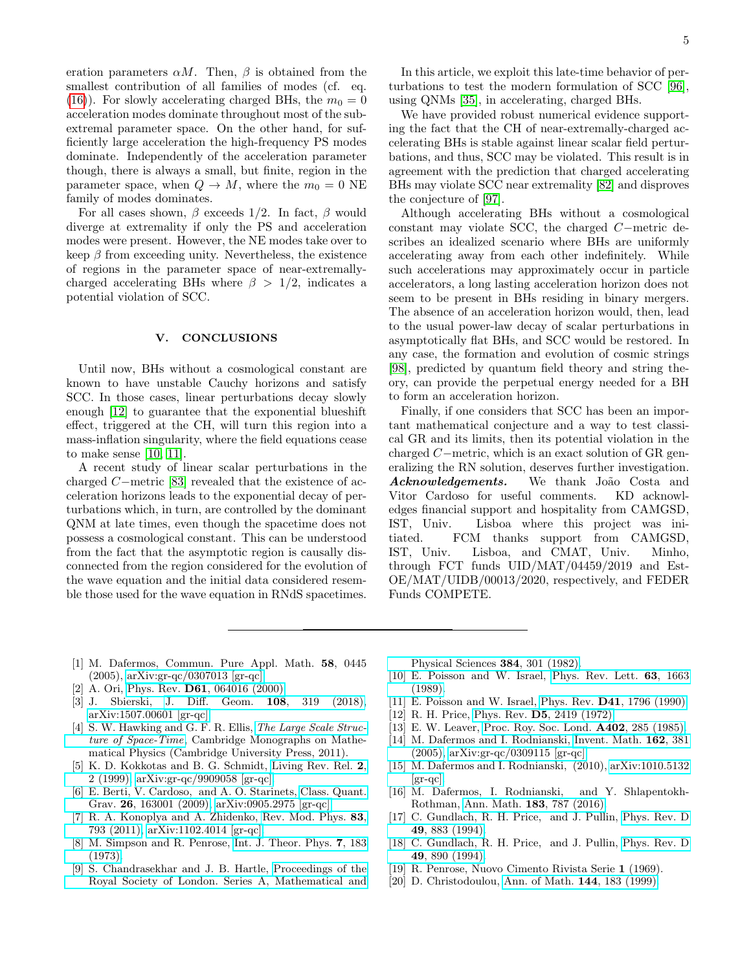eration parameters  $\alpha M$ . Then,  $\beta$  is obtained from the smallest contribution of all families of modes (cf. eq. [\(16\)](#page-3-2)). For slowly accelerating charged BHs, the  $m_0 = 0$ acceleration modes dominate throughout most of the subextremal parameter space. On the other hand, for sufficiently large acceleration the high-frequency PS modes dominate. Independently of the acceleration parameter though, there is always a small, but finite, region in the parameter space, when  $Q \to M$ , where the  $m_0 = 0$  NE family of modes dominates.

For all cases shown,  $\beta$  exceeds 1/2. In fact,  $\beta$  would diverge at extremality if only the PS and acceleration modes were present. However, the NE modes take over to keep  $\beta$  from exceeding unity. Nevertheless, the existence of regions in the parameter space of near-extremallycharged accelerating BHs where  $\beta > 1/2$ , indicates a potential violation of SCC.

## V. CONCLUSIONS

Until now, BHs without a cosmological constant are known to have unstable Cauchy horizons and satisfy SCC. In those cases, linear perturbations decay slowly enough [\[12\]](#page-4-10) to guarantee that the exponential blueshift effect, triggered at the CH, will turn this region into a mass-inflation singularity, where the field equations cease to make sense [\[10,](#page-4-8) [11\]](#page-4-9).

A recent study of linear scalar perturbations in the charged C−metric [\[83\]](#page-6-2) revealed that the existence of acceleration horizons leads to the exponential decay of perturbations which, in turn, are controlled by the dominant QNM at late times, even though the spacetime does not possess a cosmological constant. This can be understood from the fact that the asymptotic region is causally disconnected from the region considered for the evolution of the wave equation and the initial data considered resemble those used for the wave equation in RNdS spacetimes.

In this article, we exploit this late-time behavior of perturbations to test the modern formulation of SCC [\[96\]](#page-6-15), using QNMs [\[35\]](#page-5-10), in accelerating, charged BHs.

We have provided robust numerical evidence supporting the fact that the CH of near-extremally-charged accelerating BHs is stable against linear scalar field perturbations, and thus, SCC may be violated. This result is in agreement with the prediction that charged accelerating BHs may violate SCC near extremality [\[82\]](#page-6-1) and disproves the conjecture of [\[97\]](#page-6-16).

Although accelerating BHs without a cosmological constant may violate SCC, the charged C−metric describes an idealized scenario where BHs are uniformly accelerating away from each other indefinitely. While such accelerations may approximately occur in particle accelerators, a long lasting acceleration horizon does not seem to be present in BHs residing in binary mergers. The absence of an acceleration horizon would, then, lead to the usual power-law decay of scalar perturbations in asymptotically flat BHs, and SCC would be restored. In any case, the formation and evolution of cosmic strings [\[98\]](#page-6-17), predicted by quantum field theory and string theory, can provide the perpetual energy needed for a BH to form an acceleration horizon.

Finally, if one considers that SCC has been an important mathematical conjecture and a way to test classical GR and its limits, then its potential violation in the charged C−metric, which is an exact solution of GR generalizing the RN solution, deserves further investigation. Acknowledgements. We thank João Costa and Vitor Cardoso for useful comments. KD acknowledges financial support and hospitality from CAMGSD, IST, Univ. Lisboa where this project was initiated. FCM thanks support from CAMGSD, IST, Univ. Lisboa, and CMAT, Univ. Minho, through FCT funds UID/MAT/04459/2019 and Est-OE/MAT/UIDB/00013/2020, respectively, and FEDER Funds COMPETE.

- <span id="page-4-0"></span>[1] M. Dafermos, Commun. Pure Appl. Math. 58, 0445 (2005), [arXiv:gr-qc/0307013 \[gr-qc\].](http://arxiv.org/abs/gr-qc/0307013)
- <span id="page-4-1"></span>[2] A. Ori, Phys. Rev. **D61**[, 064016 \(2000\).](http://dx.doi.org/10.1103/PhysRevD.61.064016)
- <span id="page-4-2"></span>[3] J. Sbierski, [J. Diff. Geom.](http://dx.doi.org/10.4310/jdg/1518490820) 108, 319 (2018), [arXiv:1507.00601 \[gr-qc\].](http://arxiv.org/abs/1507.00601)
- <span id="page-4-3"></span>[4] S. W. Hawking and G. F. R. Ellis, [The Large Scale Struc](http://dx.doi.org/10.1017/CBO9780511524646)[ture of Space-Time](http://dx.doi.org/10.1017/CBO9780511524646), Cambridge Monographs on Mathematical Physics (Cambridge University Press, 2011).
- <span id="page-4-4"></span>[5] K. D. Kokkotas and B. G. Schmidt, [Living Rev. Rel.](http://dx.doi.org/10.12942/lrr-1999-2) 2, [2 \(1999\),](http://dx.doi.org/10.12942/lrr-1999-2) [arXiv:gr-qc/9909058 \[gr-qc\].](http://arxiv.org/abs/gr-qc/9909058)
- [6] E. Berti, V. Cardoso, and A. O. Starinets, [Class. Quant.](http://dx.doi.org/10.1088/0264-9381/26/16/163001) Grav. 26[, 163001 \(2009\),](http://dx.doi.org/10.1088/0264-9381/26/16/163001) [arXiv:0905.2975 \[gr-qc\].](http://arxiv.org/abs/0905.2975)
- <span id="page-4-5"></span>[7] R. A. Konoplya and A. Zhidenko, [Rev. Mod. Phys.](http://dx.doi.org/10.1103/RevModPhys.83.793) 83, [793 \(2011\),](http://dx.doi.org/10.1103/RevModPhys.83.793) [arXiv:1102.4014 \[gr-qc\].](http://arxiv.org/abs/1102.4014)
- <span id="page-4-6"></span>[8] M. Simpson and R. Penrose, [Int. J. Theor. Phys.](http://dx.doi.org/10.1007/BF00792069) 7, 183 [\(1973\).](http://dx.doi.org/10.1007/BF00792069)
- <span id="page-4-7"></span>[9] S. Chandrasekhar and J. B. Hartle, [Proceedings of the](http://www.jstor.org/stable/2397225) [Royal Society of London. Series A, Mathematical and](http://www.jstor.org/stable/2397225)

[Physical Sciences](http://www.jstor.org/stable/2397225) 384, 301 (1982).

- <span id="page-4-8"></span>[10] E. Poisson and W. Israel, [Phys. Rev. Lett.](http://dx.doi.org/10.1103/PhysRevLett.63.1663) 63, 1663 [\(1989\).](http://dx.doi.org/10.1103/PhysRevLett.63.1663)
- <span id="page-4-9"></span>[11] E. Poisson and W. Israel, Phys. Rev. **D41**[, 1796 \(1990\).](http://dx.doi.org/10.1103/PhysRevD.41.1796)
- <span id="page-4-10"></span>[12] R. H. Price, Phys. Rev. D5[, 2419 \(1972\).](http://dx.doi.org/10.1103/PhysRevD.5.2419)
- [13] E. W. Leaver, [Proc. Roy. Soc. Lond.](http://dx.doi.org/10.1098/rspa.1985.0119) A402, 285 (1985).
- [14] M. Dafermos and I. Rodnianski, [Invent. Math.](http://dx.doi.org/10.1007/s00222-005-0450-3) 162, 381 [\(2005\),](http://dx.doi.org/10.1007/s00222-005-0450-3) [arXiv:gr-qc/0309115 \[gr-qc\].](http://arxiv.org/abs/gr-qc/0309115)
- [15] M. Dafermos and I. Rodnianski, (2010), [arXiv:1010.5132](http://arxiv.org/abs/1010.5132)  $|gr-qc|.$
- [16] M. Dafermos, I. Rodnianski, and Y. Shlapentokh-Rothman, Ann. Math. 183[, 787 \(2016\).](http://dx.doi.org/10.4007/annals.2016.183.3.2)
- <span id="page-4-13"></span>[17] C. Gundlach, R. H. Price, and J. Pullin, [Phys. Rev. D](http://dx.doi.org/10.1103/PhysRevD.49.883) 49[, 883 \(1994\).](http://dx.doi.org/10.1103/PhysRevD.49.883)
- <span id="page-4-11"></span>[18] C. Gundlach, R. H. Price, and J. Pullin, [Phys. Rev. D](http://dx.doi.org/10.1103/PhysRevD.49.890) 49[, 890 \(1994\).](http://dx.doi.org/10.1103/PhysRevD.49.890)
- <span id="page-4-12"></span>[19] R. Penrose, Nuovo Cimento Rivista Serie 1 (1969).
- [20] D. Christodoulou, [Ann. of Math.](http://dx.doi.org/10.2307/121023) 144, 183 (1999).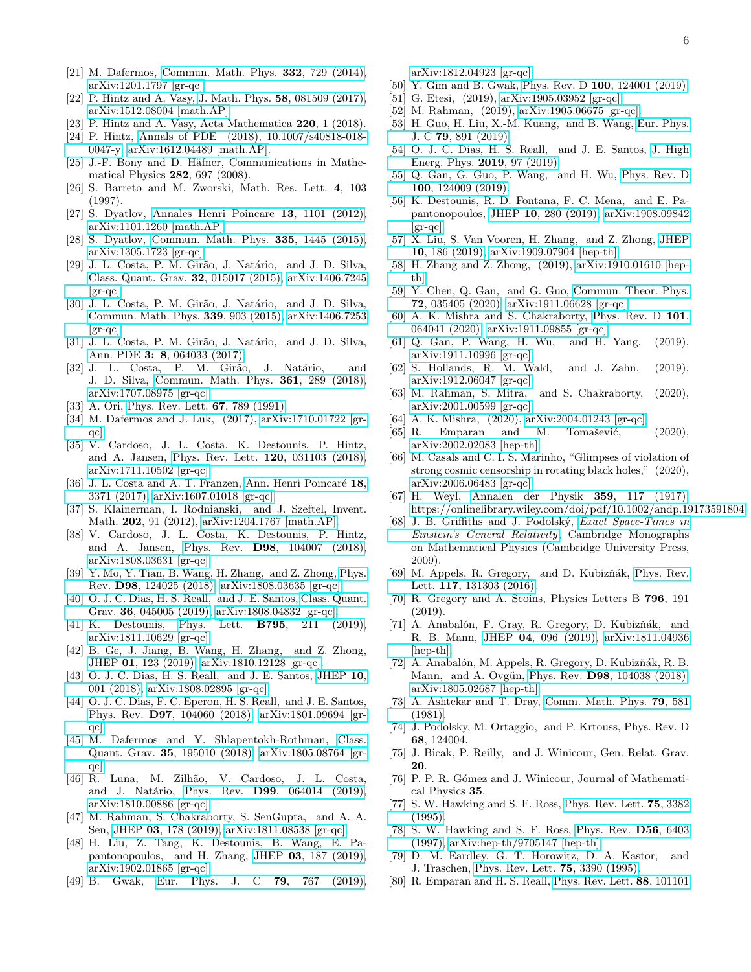- <span id="page-5-0"></span>[21] M. Dafermos, [Commun. Math. Phys.](http://dx.doi.org/10.1007/s00220-014-2063-4) 332, 729 (2014), [arXiv:1201.1797 \[gr-qc\].](http://arxiv.org/abs/1201.1797)
- <span id="page-5-1"></span>[22] P. Hintz and A. Vasy, J. Math. Phys. 58[, 081509 \(2017\),](http://dx.doi.org/10.1063/1.4996575) [arXiv:1512.08004 \[math.AP\].](http://arxiv.org/abs/1512.08004)
- <span id="page-5-8"></span>[23] P. Hintz and A. Vasy, Acta Mathematica **220**, 1 (2018).
- <span id="page-5-2"></span>[24] P. Hintz, [Annals of PDE \(2018\), 10.1007/s40818-018-](http://dx.doi.org/10.1007/s40818-018-0047-y) [0047-y,](http://dx.doi.org/10.1007/s40818-018-0047-y) [arXiv:1612.04489 \[math.AP\].](http://arxiv.org/abs/1612.04489)
- <span id="page-5-3"></span>[25] J.-F. Bony and D. Häfner, Communications in Mathematical Physics 282, 697 (2008).
- [26] S. Barreto and M. Zworski, Math. Res. Lett. 4, 103 (1997).
- <span id="page-5-31"></span>[27] S. Dyatlov, [Annales Henri Poincare](http://dx.doi.org/10.1007/s00023-012-0159-y) 13, 1101 (2012), [arXiv:1101.1260 \[math.AP\].](http://arxiv.org/abs/1101.1260)
- <span id="page-5-4"></span>[28] S. Dyatlov, [Commun. Math. Phys.](http://dx.doi.org/10.1007/s00220-014-2255-y) 335, 1445 (2015), [arXiv:1305.1723 \[gr-qc\].](http://arxiv.org/abs/1305.1723)
- <span id="page-5-5"></span>[29] J. L. Costa, P. M. Girão, J. Natário, and J. D. Silva, [Class. Quant. Grav.](http://dx.doi.org/10.1088/0264-9381/32/1/015017) 32, 015017 (2015), [arXiv:1406.7245](http://arxiv.org/abs/1406.7245) [\[gr-qc\].](http://arxiv.org/abs/1406.7245)
- [30] J. L. Costa, P. M. Girão, J. Natário, and J. D. Silva, [Commun. Math. Phys.](http://dx.doi.org/10.1007/s00220-015-2433-6) 339, 903 (2015), [arXiv:1406.7253](http://arxiv.org/abs/1406.7253)  $\left[\mathrm{gr}\text{-}\mathrm{qc}\right]$ .
- [31] J. L. Costa, P. M. Girão, J. Natário, and J. D. Silva, Ann. PDE 3: 8[, 064033 \(2017\).](http://dx.doi.org/10.1103/PhysRevD.69.064033)
- <span id="page-5-6"></span>[32] J. L. Costa, P. M. Girão, J. Natário, and J. D. Silva, [Commun. Math. Phys.](http://dx.doi.org/10.1007/s00220-018-3122-z) 361, 289 (2018), [arXiv:1707.08975 \[gr-qc\].](http://arxiv.org/abs/1707.08975)
- <span id="page-5-7"></span>[33] A. Ori, [Phys. Rev. Lett.](http://dx.doi.org/10.1103/PhysRevLett.67.789) **67**, 789 (1991).
- <span id="page-5-9"></span>[34] M. Dafermos and J. Luk, (2017), [arXiv:1710.01722 \[gr](http://arxiv.org/abs/1710.01722)[qc\].](http://arxiv.org/abs/1710.01722)
- <span id="page-5-10"></span>[35] V. Cardoso, J. L. Costa, K. Destounis, P. Hintz, and A. Jansen, [Phys. Rev. Lett.](http://dx.doi.org/ 10.1103/PhysRevLett.120.031103) 120, 031103 (2018), [arXiv:1711.10502 \[gr-qc\].](http://arxiv.org/abs/1711.10502)
- <span id="page-5-11"></span>[36] J. L. Costa and A. T. Franzen, Ann. Henri Poincaré 18, [3371 \(2017\),](http://dx.doi.org/10.1007/s00023-017-0592-z) [arXiv:1607.01018 \[gr-qc\].](http://arxiv.org/abs/1607.01018)
- <span id="page-5-12"></span>[37] S. Klainerman, I. Rodnianski, and J. Szeftel, Invent. Math. 202, 91 (2012), [arXiv:1204.1767 \[math.AP\].](http://arxiv.org/abs/1204.1767)
- <span id="page-5-13"></span>[38] V. Cardoso, J. L. Costa, K. Destounis, P. Hintz, and A. Jansen, Phys. Rev. D98[, 104007 \(2018\),](http://dx.doi.org/ 10.1103/PhysRevD.98.104007) [arXiv:1808.03631 \[gr-qc\].](http://arxiv.org/abs/1808.03631)
- [39] Y. Mo, Y. Tian, B. Wang, H. Zhang, and Z. Zhong, [Phys.](http://dx.doi.org/ 10.1103/PhysRevD.98.124025) Rev. D98[, 124025 \(2018\),](http://dx.doi.org/ 10.1103/PhysRevD.98.124025) [arXiv:1808.03635 \[gr-qc\].](http://arxiv.org/abs/1808.03635)
- <span id="page-5-14"></span>[40] O. J. C. Dias, H. S. Reall, and J. E. Santos, [Class. Quant.](http://dx.doi.org/10.1088/1361-6382/aafcf2) Grav. 36[, 045005 \(2019\),](http://dx.doi.org/10.1088/1361-6382/aafcf2) [arXiv:1808.04832 \[gr-qc\].](http://arxiv.org/abs/1808.04832)
- <span id="page-5-15"></span>[41] K. Destounis, Phys. Lett. B795[, 211 \(2019\),](http://dx.doi.org/10.1016/j.physletb.2019.06.015) [arXiv:1811.10629 \[gr-qc\].](http://arxiv.org/abs/1811.10629)
- <span id="page-5-16"></span>[42] B. Ge, J. Jiang, B. Wang, H. Zhang, and Z. Zhong, JHEP 01[, 123 \(2019\),](http://dx.doi.org/ 10.1007/JHEP01(2019)123) [arXiv:1810.12128 \[gr-qc\].](http://arxiv.org/abs/1810.12128)
- <span id="page-5-17"></span>[43] O. J. C. Dias, H. S. Reall, and J. E. Santos, [JHEP](http://dx.doi.org/10.1007/JHEP10(2018)001) 10, [001 \(2018\),](http://dx.doi.org/10.1007/JHEP10(2018)001) [arXiv:1808.02895 \[gr-qc\].](http://arxiv.org/abs/1808.02895)
- <span id="page-5-18"></span>[44] O. J. C. Dias, F. C. Eperon, H. S. Reall, and J. E. Santos, Phys. Rev. D97[, 104060 \(2018\),](http://dx.doi.org/10.1103/PhysRevD.97.104060) [arXiv:1801.09694 \[gr](http://arxiv.org/abs/1801.09694)[qc\].](http://arxiv.org/abs/1801.09694)
- <span id="page-5-19"></span>[45] M. Dafermos and Y. Shlapentokh-Rothman, [Class.](http://dx.doi.org/10.1088/1361-6382/aadbcf) Quant. Grav. 35[, 195010 \(2018\),](http://dx.doi.org/10.1088/1361-6382/aadbcf) [arXiv:1805.08764 \[gr](http://arxiv.org/abs/1805.08764)[qc\].](http://arxiv.org/abs/1805.08764)
- [46] R. Luna, M. Zilhão, V. Cardoso, J. L. Costa, and J. Natário, Phys. Rev. **D99**[, 064014 \(2019\),](http://dx.doi.org/ 10.1103/PhysRevD.99.064014) [arXiv:1810.00886 \[gr-qc\].](http://arxiv.org/abs/1810.00886)
- [47] M. Rahman, S. Chakraborty, S. SenGupta, and A. A. Sen, JHEP 03[, 178 \(2019\),](http://dx.doi.org/10.1007/JHEP03(2019)178) [arXiv:1811.08538 \[gr-qc\].](http://arxiv.org/abs/1811.08538)
- [48] H. Liu, Z. Tang, K. Destounis, B. Wang, E. Papantonopoulos, and H. Zhang, JHEP 03[, 187 \(2019\),](http://dx.doi.org/10.1007/JHEP03(2019)187) [arXiv:1902.01865 \[gr-qc\].](http://arxiv.org/abs/1902.01865)
- [49] B. Gwak, [Eur. Phys. J. C](http://dx.doi.org/10.1140/epjc/s10052-019-7283-5) 79, 767 (2019),

[arXiv:1812.04923 \[gr-qc\].](http://arxiv.org/abs/1812.04923)

- [50] Y. Gim and B. Gwak, Phys. Rev. D 100[, 124001 \(2019\).](http://dx.doi.org/10.1103/PhysRevD.100.124001)
- [51] G. Etesi, (2019), [arXiv:1905.03952 \[gr-qc\].](http://arxiv.org/abs/1905.03952)
- [52] M. Rahman, (2019), [arXiv:1905.06675 \[gr-qc\].](http://arxiv.org/abs/1905.06675)
- [53] H. Guo, H. Liu, X.-M. Kuang, and B. Wang, [Eur. Phys.](http://dx.doi.org/ 10.1140/epjc/s10052-019-7416-x) J. C 79[, 891 \(2019\).](http://dx.doi.org/ 10.1140/epjc/s10052-019-7416-x)
- [54] O. J. C. Dias, H. S. Reall, and J. E. Santos, [J. High](http://dx.doi.org/10.1007/JHEP12(2019)097) [Energ. Phys.](http://dx.doi.org/10.1007/JHEP12(2019)097) 2019, 97 (2019).
- [55] Q. Gan, G. Guo, P. Wang, and H. Wu, [Phys. Rev. D](http://dx.doi.org/ 10.1103/PhysRevD.100.124009) 100[, 124009 \(2019\).](http://dx.doi.org/ 10.1103/PhysRevD.100.124009)
- [56] K. Destounis, R. D. Fontana, F. C. Mena, and E. Papantonopoulos, JHEP 10[, 280 \(2019\),](http://dx.doi.org/10.1007/JHEP10(2019)280) [arXiv:1908.09842](http://arxiv.org/abs/1908.09842) [\[gr-qc\].](http://arxiv.org/abs/1908.09842)
- [57] X. Liu, S. Van Vooren, H. Zhang, and Z. Zhong, [JHEP](http://dx.doi.org/ 10.1007/JHEP10(2019)186) 10[, 186 \(2019\),](http://dx.doi.org/ 10.1007/JHEP10(2019)186) [arXiv:1909.07904 \[hep-th\].](http://arxiv.org/abs/1909.07904)
- [58] H. Zhang and Z. Zhong, (2019), [arXiv:1910.01610 \[hep](http://arxiv.org/abs/1910.01610)[th\].](http://arxiv.org/abs/1910.01610)
- [59] Y. Chen, Q. Gan, and G. Guo, [Commun. Theor. Phys.](http://dx.doi.org/ 10.1088/1572-9494/ab6912) 72[, 035405 \(2020\),](http://dx.doi.org/ 10.1088/1572-9494/ab6912) [arXiv:1911.06628 \[gr-qc\].](http://arxiv.org/abs/1911.06628)
- [60] A. K. Mishra and S. Chakraborty, [Phys. Rev. D](http://dx.doi.org/10.1103/PhysRevD.101.064041) 101, [064041 \(2020\),](http://dx.doi.org/10.1103/PhysRevD.101.064041) [arXiv:1911.09855 \[gr-qc\].](http://arxiv.org/abs/1911.09855)
- [61] Q. Gan, P. Wang, H. Wu, and H. Yang, (2019), [arXiv:1911.10996 \[gr-qc\].](http://arxiv.org/abs/1911.10996)
- [62] S. Hollands, R. M. Wald, and J. Zahn, (2019), [arXiv:1912.06047 \[gr-qc\].](http://arxiv.org/abs/1912.06047)
- [63] M. Rahman, S. Mitra, and S. Chakraborty, (2020), [arXiv:2001.00599 \[gr-qc\].](http://arxiv.org/abs/2001.00599)
- [64] A. K. Mishra, (2020), [arXiv:2004.01243 \[gr-qc\].](http://arxiv.org/abs/2004.01243)
- [65] R. Emparan and M. Tomašević,  $(2020)$ , [arXiv:2002.02083 \[hep-th\].](http://arxiv.org/abs/2002.02083)
- <span id="page-5-20"></span>[66] M. Casals and C. I. S. Marinho, "Glimpses of violation of strong cosmic censorship in rotating black holes," (2020), [arXiv:2006.06483 \[gr-qc\].](http://arxiv.org/abs/2006.06483)
- <span id="page-5-21"></span>[67] H. Weyl, [Annalen der Physik](http://dx.doi.org/10.1002/andp.19173591804) 359, 117 (1917), [https://onlinelibrary.wiley.com/doi/pdf/10.1002/andp.19173591804.](http://arxiv.org/abs/https://onlinelibrary.wiley.com/doi/pdf/10.1002/andp.19173591804)
- <span id="page-5-22"></span>[68] J. B. Griffiths and J. Podolský, *[Exact Space-Times in](http://dx.doi.org/10.1017/CBO9780511635397)* [Einstein's General Relativity](http://dx.doi.org/10.1017/CBO9780511635397), Cambridge Monographs on Mathematical Physics (Cambridge University Press, 2009).
- <span id="page-5-23"></span>[69] M. Appels, R. Gregory, and D. Kubizňák, [Phys. Rev.](http://dx.doi.org/ 10.1103/PhysRevLett.117.131303) Lett. 117[, 131303 \(2016\).](http://dx.doi.org/ 10.1103/PhysRevLett.117.131303)
- [70] R. Gregory and A. Scoins, Physics Letters B 796, 191 (2019).
- [71] A. Anabalón, F. Gray, R. Gregory, D. Kubizňák, and R. B. Mann, JHEP 04[, 096 \(2019\),](http://dx.doi.org/ 10.1007/JHEP04(2019)096) [arXiv:1811.04936](http://arxiv.org/abs/1811.04936) [\[hep-th\].](http://arxiv.org/abs/1811.04936)
- <span id="page-5-24"></span>[72] A. Anabalón, M. Appels, R. Gregory, D. Kubizňák, R. B. Mann, and A. Ovgün, Phys. Rev. **D98**[, 104038 \(2018\),](http://dx.doi.org/ 10.1103/PhysRevD.98.104038) [arXiv:1805.02687 \[hep-th\].](http://arxiv.org/abs/1805.02687)
- <span id="page-5-25"></span>[73] A. Ashtekar and T. Dray, [Comm. Math. Phys.](https://projecteuclid.org:443/euclid.cmp/1103909143) 79, 581 [\(1981\).](https://projecteuclid.org:443/euclid.cmp/1103909143)
- [74] J. Podolsky, M. Ortaggio, and P. Krtouss, Phys. Rev. D 68, 124004.
- [75] J. Bicak, P. Reilly, and J. Winicour, Gen. Relat. Grav. 20.
- <span id="page-5-26"></span>[76] P. P. R. Gómez and J. Winicour, Journal of Mathematical Physics 35.
- <span id="page-5-27"></span>[77] S. W. Hawking and S. F. Ross, [Phys. Rev. Lett.](http://dx.doi.org/10.1103/PhysRevLett.75.3382) 75, 3382 [\(1995\).](http://dx.doi.org/10.1103/PhysRevLett.75.3382)
- <span id="page-5-28"></span>[78] S. W. Hawking and S. F. Ross, [Phys. Rev.](http://dx.doi.org/10.1103/PhysRevD.56.6403) D56, 6403 [\(1997\),](http://dx.doi.org/10.1103/PhysRevD.56.6403) [arXiv:hep-th/9705147 \[hep-th\].](http://arxiv.org/abs/hep-th/9705147)
- <span id="page-5-29"></span>[79] D. M. Eardley, G. T. Horowitz, D. A. Kastor, and J. Traschen, [Phys. Rev. Lett.](http://dx.doi.org/10.1103/PhysRevLett.75.3390) 75, 3390 (1995).
- <span id="page-5-30"></span>[80] R. Emparan and H. S. Reall, [Phys. Rev. Lett.](http://dx.doi.org/10.1103/PhysRevLett.88.101101) 88, 101101